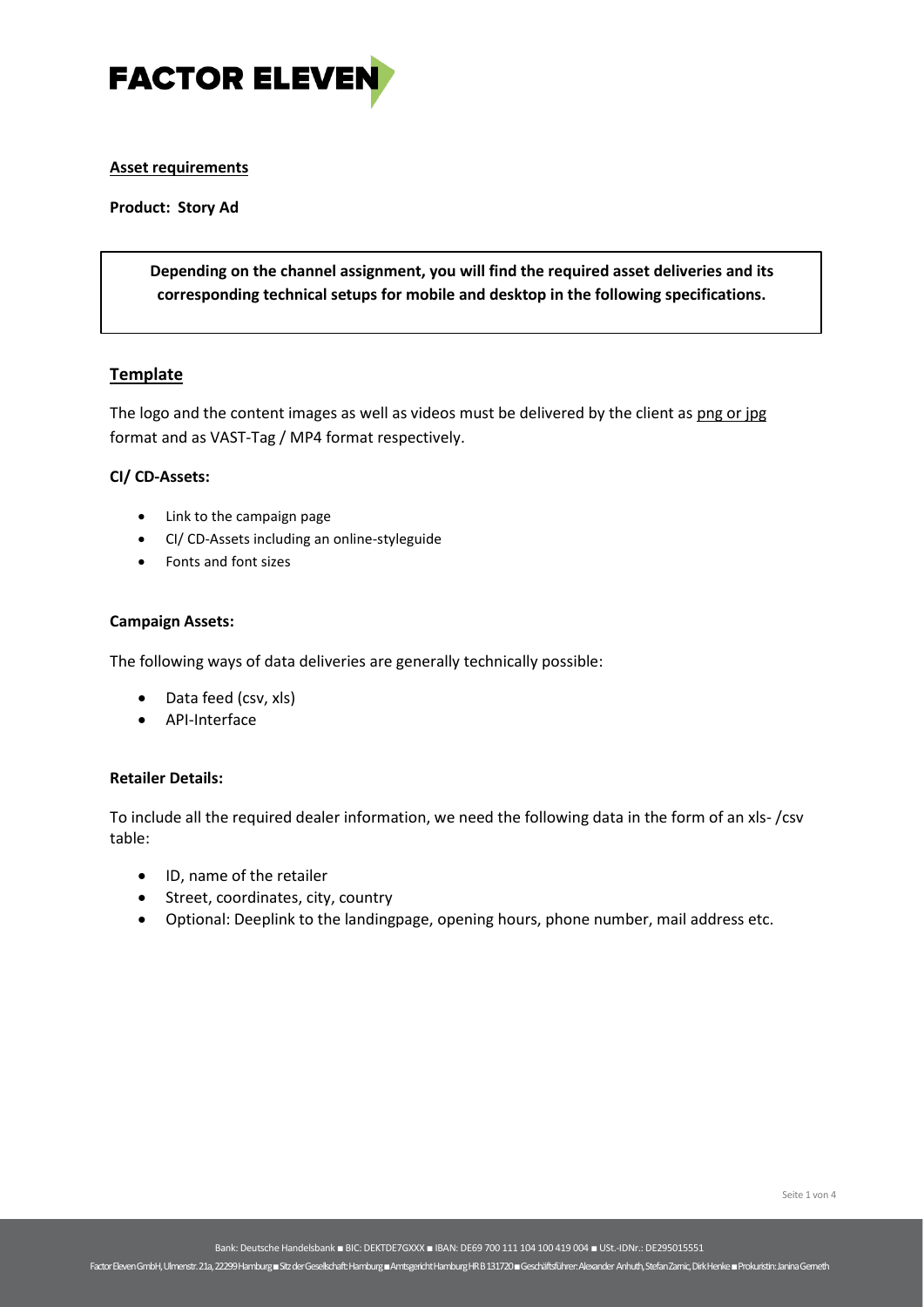

### **Asset requirements**

**Product: Story Ad**

**Depending on the channel assignment, you will find the required asset deliveries and its corresponding technical setups for mobile and desktop in the following specifications.**

### **Template**

The logo and the content images as well as videos must be delivered by the client as png or jpg format and as VAST-Tag / MP4 format respectively.

### **CI/ CD-Assets:**

- Link to the campaign page
- CI/ CD-Assets including an online-styleguide
- Fonts and font sizes

#### **Campaign Assets:**

The following ways of data deliveries are generally technically possible:

- Data feed (csv, xls)
- API-Interface

### **Retailer Details:**

To include all the required dealer information, we need the following data in the form of an xls- /csv table:

- ID, name of the retailer
- Street, coordinates, city, country
- Optional: Deeplink to the landingpage, opening hours, phone number, mail address etc.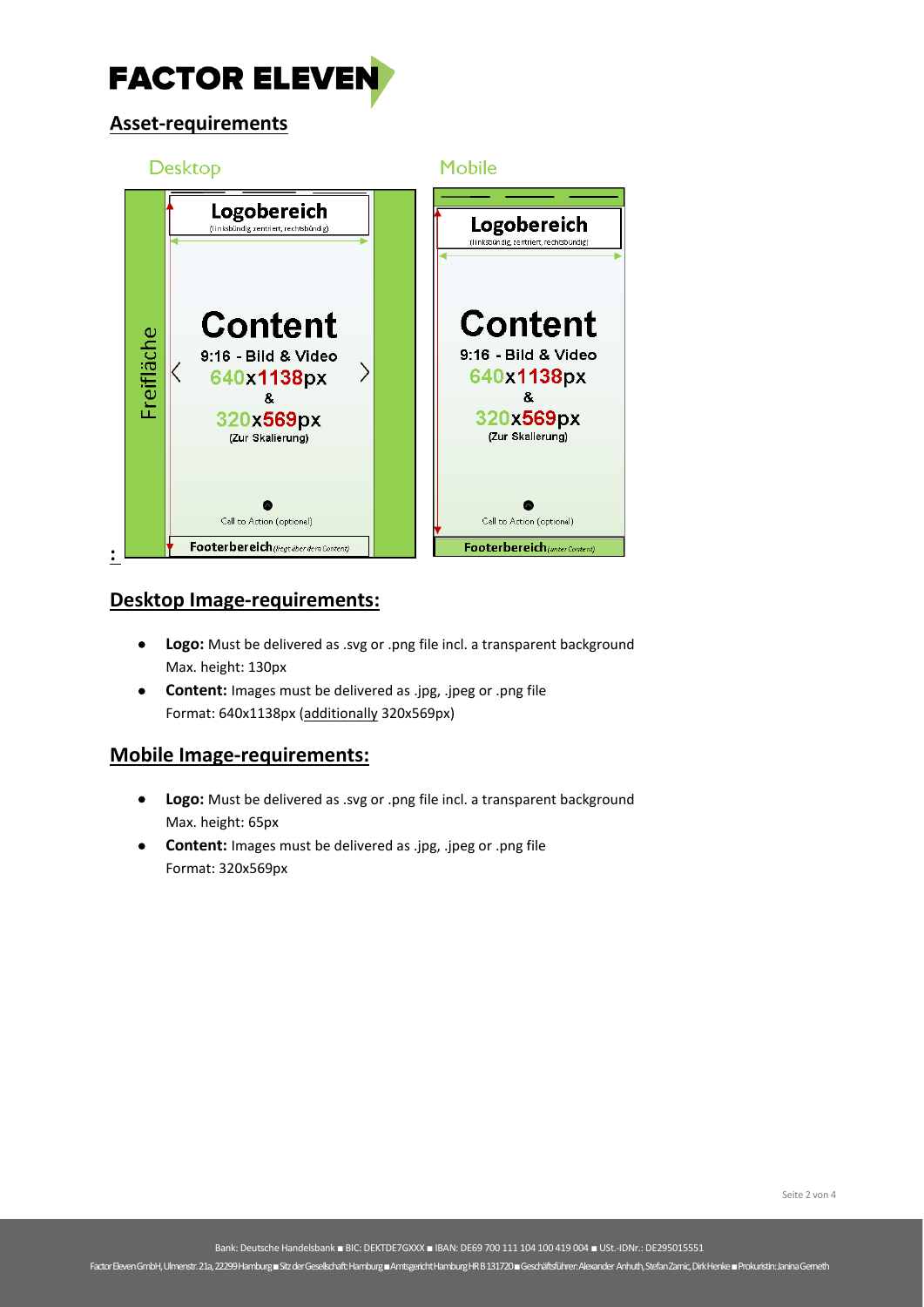

# **Asset-requirements**



### **Desktop Image-requirements:**

- **Logo:** Must be delivered as .svg or .png file incl. a transparent background Max. height: 130px
- **Content:** Images must be delivered as .jpg, .jpeg or .png file Format: 640x1138px (additionally 320x569px)

# **Mobile Image-requirements:**

- **Logo:** Must be delivered as .svg or .png file incl. a transparent background Max. height: 65px
- **Content:** Images must be delivered as .jpg, .jpeg or .png file Format: 320x569px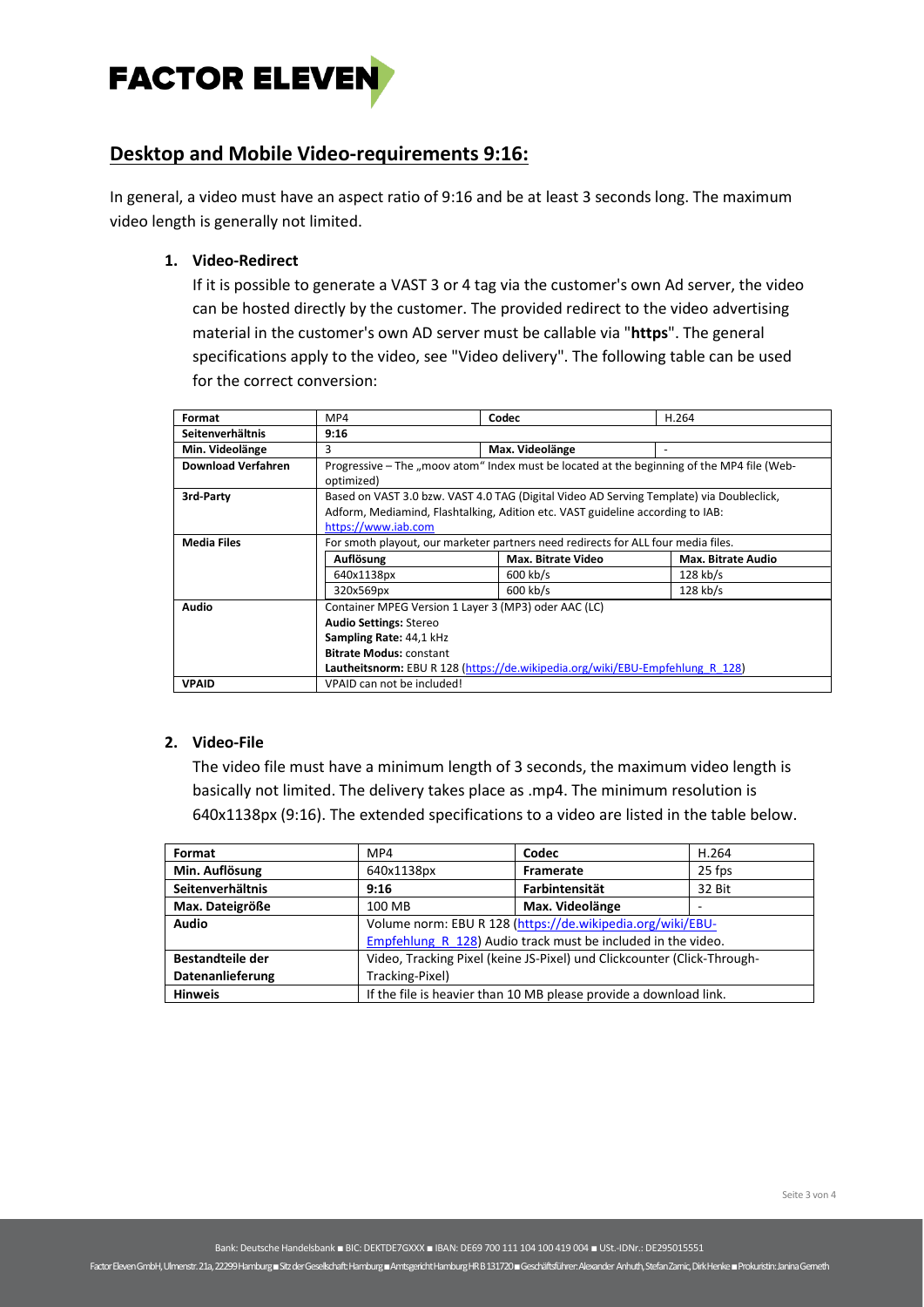

## **Desktop and Mobile Video-requirements 9:16:**

In general, a video must have an aspect ratio of 9:16 and be at least 3 seconds long. The maximum video length is generally not limited.

**1. Video-Redirect**

If it is possible to generate a VAST 3 or 4 tag via the customer's own Ad server, the video can be hosted directly by the customer. The provided redirect to the video advertising material in the customer's own AD server must be callable via "**https**". The general specifications apply to the video, see "Video delivery". The following table can be used for the correct conversion:

| Format                    | MP4                                                                                        | Codec              | H.264              |  |
|---------------------------|--------------------------------------------------------------------------------------------|--------------------|--------------------|--|
| Seitenverhältnis          | 9:16                                                                                       |                    |                    |  |
| Min. Videolänge           | 3                                                                                          | Max. Videolänge    |                    |  |
| <b>Download Verfahren</b> | Progressive – The "moov atom" Index must be located at the beginning of the MP4 file (Web- |                    |                    |  |
|                           | optimized)                                                                                 |                    |                    |  |
| 3rd-Party                 | Based on VAST 3.0 bzw. VAST 4.0 TAG (Digital Video AD Serving Template) via Doubleclick,   |                    |                    |  |
|                           | Adform, Mediamind, Flashtalking, Adition etc. VAST guideline according to IAB:             |                    |                    |  |
|                           | https://www.iab.com                                                                        |                    |                    |  |
| <b>Media Files</b>        | For smoth playout, our marketer partners need redirects for ALL four media files.          |                    |                    |  |
|                           | Auflösung                                                                                  | Max. Bitrate Video | Max. Bitrate Audio |  |
|                           | 640x1138px                                                                                 | $600$ kb/s         | $128$ kb/s         |  |
|                           | 320x569px                                                                                  | $600$ kb/s         | $128$ kb/s         |  |
| <b>Audio</b>              | Container MPEG Version 1 Layer 3 (MP3) oder AAC (LC)                                       |                    |                    |  |
|                           | <b>Audio Settings: Stereo</b>                                                              |                    |                    |  |
|                           | Sampling Rate: 44,1 kHz                                                                    |                    |                    |  |
|                           | <b>Bitrate Modus: constant</b>                                                             |                    |                    |  |
|                           | Lautheitsnorm: EBU R 128 (https://de.wikipedia.org/wiki/EBU-Empfehlung R 128)              |                    |                    |  |
| <b>VPAID</b>              | VPAID can not be included!                                                                 |                    |                    |  |

### **2. Video-File**

The video file must have a minimum length of 3 seconds, the maximum video length is basically not limited. The delivery takes place as .mp4. The minimum resolution is 640x1138px (9:16). The extended specifications to a video are listed in the table below.

| Format                  | MP4                                                                     | Codec           | H.264  |
|-------------------------|-------------------------------------------------------------------------|-----------------|--------|
| Min. Auflösung          | 640x1138px                                                              | Framerate       | 25 fps |
| Seitenverhältnis        | 9:16                                                                    | Farbintensität  | 32 Bit |
| Max. Dateigröße         | 100 MB                                                                  | Max. Videolänge |        |
| Audio                   | Volume norm: EBU R 128 (https://de.wikipedia.org/wiki/EBU-              |                 |        |
|                         | Empfehlung R 128) Audio track must be included in the video.            |                 |        |
| <b>Bestandteile der</b> | Video, Tracking Pixel (keine JS-Pixel) und Clickcounter (Click-Through- |                 |        |
| Datenanlieferung        | Tracking-Pixel)                                                         |                 |        |
| <b>Hinweis</b>          | If the file is heavier than 10 MB please provide a download link.       |                 |        |

Factor Eleven GmbH, Ulmenstr. 21a, 22299 Hamburg ■Sitz der Gesellschaft: Hamburg ■Amtsgericht Hamburg HR B 131720 ■ Geschäftsführer: Alexander Anhuth, Stefan Zarnic, Dirk Henke■Prokuristin: Janina Gerneth